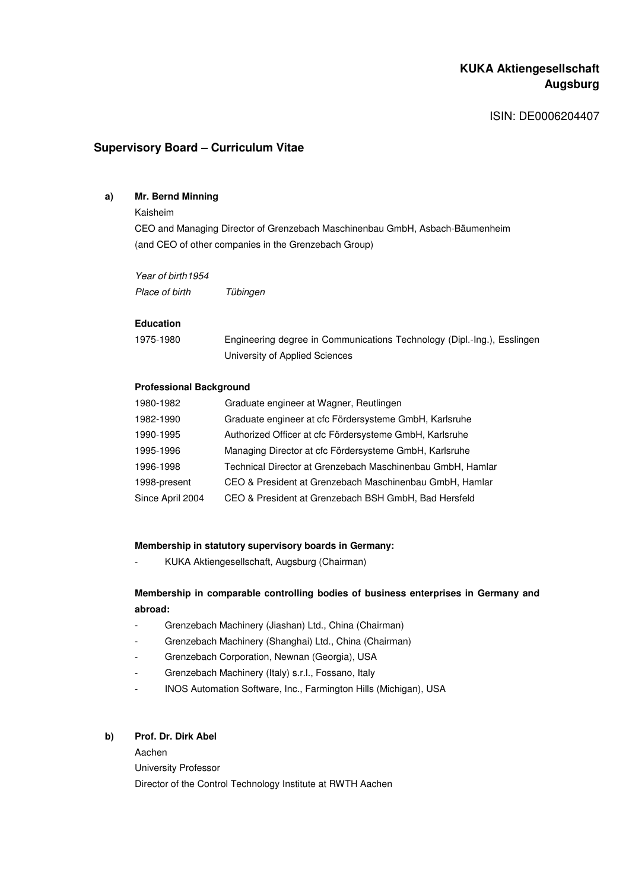# **KUKA Aktiengesellschaft Augsburg**

ISIN: DE0006204407

# **Supervisory Board – Curriculum Vitae**

### **a) Mr. Bernd Minning**

#### Kaisheim

CEO and Managing Director of Grenzebach Maschinenbau GmbH, Asbach-Bäumenheim (and CEO of other companies in the Grenzebach Group)

Year of birth 1954 Place of birth Tübingen

#### **Education**

| 1975-1980 | Engineering degree in Communications Technology (Dipl.-Ing.), Esslingen |
|-----------|-------------------------------------------------------------------------|
|           | University of Applied Sciences                                          |

### **Professional Background**

| 1980-1982        | Graduate engineer at Wagner, Reutlingen                    |
|------------------|------------------------------------------------------------|
| 1982-1990        | Graduate engineer at cfc Fördersysteme GmbH, Karlsruhe     |
| 1990-1995        | Authorized Officer at cfc Fördersysteme GmbH, Karlsruhe    |
| 1995-1996        | Managing Director at cfc Fördersysteme GmbH, Karlsruhe     |
| 1996-1998        | Technical Director at Grenzebach Maschinenbau GmbH, Hamlar |
| 1998-present     | CEO & President at Grenzebach Maschinenbau GmbH, Hamlar    |
| Since April 2004 | CEO & President at Grenzebach BSH GmbH, Bad Hersfeld       |

#### **Membership in statutory supervisory boards in Germany:**

- KUKA Aktiengesellschaft, Augsburg (Chairman)

### **Membership in comparable controlling bodies of business enterprises in Germany and abroad:**

- Grenzebach Machinery (Jiashan) Ltd., China (Chairman)
- Grenzebach Machinery (Shanghai) Ltd., China (Chairman)
- Grenzebach Corporation, Newnan (Georgia), USA
- Grenzebach Machinery (Italy) s.r.l., Fossano, Italy
- INOS Automation Software, Inc., Farmington Hills (Michigan), USA

### **b) Prof. Dr. Dirk Abel**

Aachen University Professor Director of the Control Technology Institute at RWTH Aachen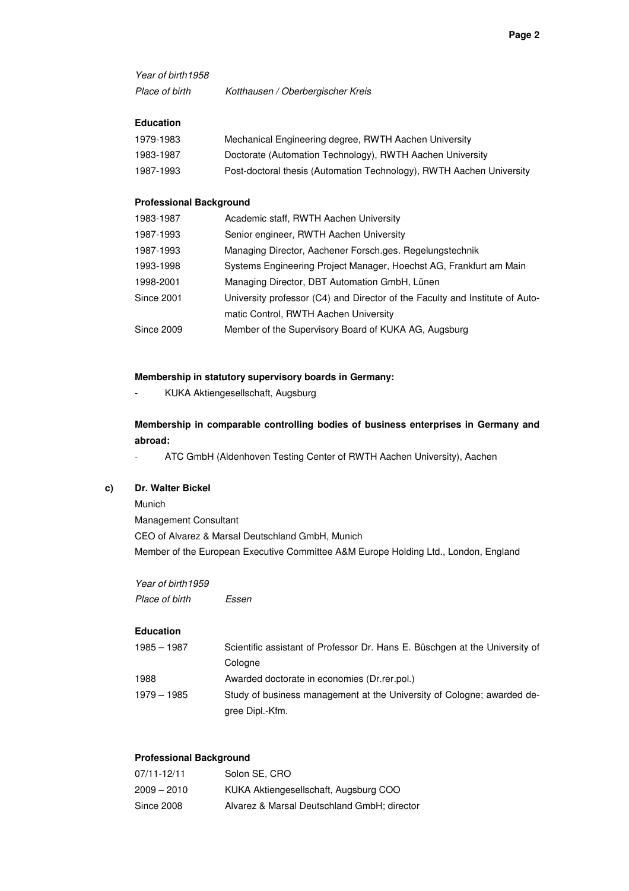Year of birth 1958

Place of birth Kotthausen / Oberbergischer Kreis

### **Education**

| 1979-1983 | Mechanical Engineering degree, RWTH Aachen University                |
|-----------|----------------------------------------------------------------------|
| 1983-1987 | Doctorate (Automation Technology), RWTH Aachen University            |
| 1987-1993 | Post-doctoral thesis (Automation Technology), RWTH Aachen University |

#### **Professional Background**

| 1983-1987  | Academic staff, RWTH Aachen University                                       |
|------------|------------------------------------------------------------------------------|
| 1987-1993  | Senior engineer, RWTH Aachen University                                      |
| 1987-1993  | Managing Director, Aachener Forsch.ges. Regelungstechnik                     |
| 1993-1998  | Systems Engineering Project Manager, Hoechst AG, Frankfurt am Main           |
| 1998-2001  | Managing Director, DBT Automation GmbH, Lünen                                |
| Since 2001 | University professor (C4) and Director of the Faculty and Institute of Auto- |
|            | matic Control, RWTH Aachen University                                        |
| Since 2009 | Member of the Supervisory Board of KUKA AG, Augsburg                         |
|            |                                                                              |

### **Membership in statutory supervisory boards in Germany:**

- KUKA Aktiengesellschaft, Augsburg

**Membership in comparable controlling bodies of business enterprises in Germany and abroad:** 

- ATC GmbH (Aldenhoven Testing Center of RWTH Aachen University), Aachen

# **c) Dr. Walter Bickel**

Munich

Management Consultant CEO of Alvarez & Marsal Deutschland GmbH, Munich Member of the European Executive Committee A&M Europe Holding Ltd., London, England

Year of birth 1959 Place of birth Essen

### **Education**

| $1985 - 1987$ | Scientific assistant of Professor Dr. Hans E. Büschgen at the University of |
|---------------|-----------------------------------------------------------------------------|
|               | Cologne                                                                     |
| 1988          | Awarded doctorate in economies (Dr.rer.pol.)                                |
| $1979 - 1985$ | Study of business management at the University of Cologne; awarded de-      |
|               | gree Dipl.-Kfm.                                                             |

# **Professional Background**

| 07/11-12/11   | Solon SE, CRO                               |
|---------------|---------------------------------------------|
| $2009 - 2010$ | KUKA Aktiengesellschaft, Augsburg COO       |
| Since 2008    | Alvarez & Marsal Deutschland GmbH; director |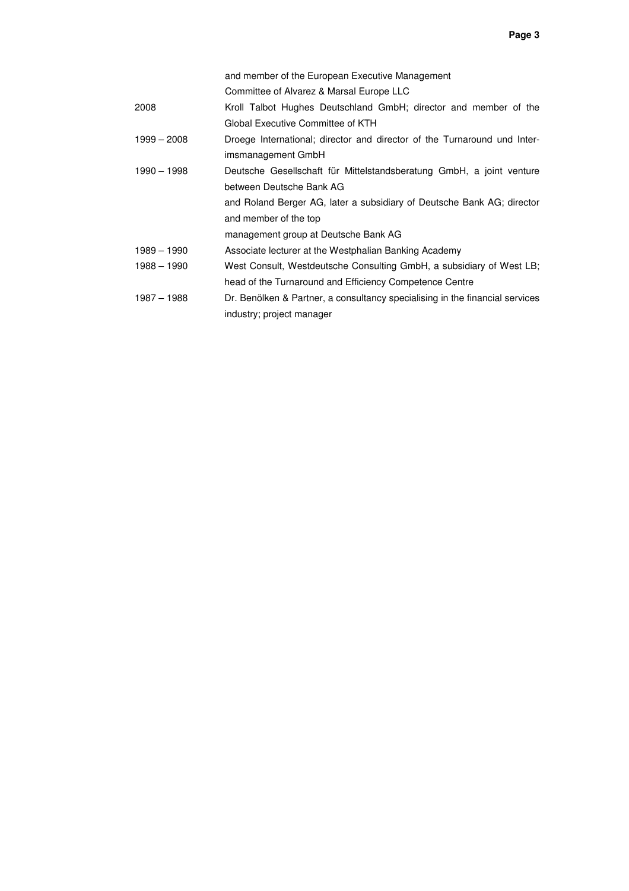|             | and member of the European Executive Management                              |
|-------------|------------------------------------------------------------------------------|
|             | Committee of Alvarez & Marsal Europe LLC                                     |
| 2008        | Kroll Talbot Hughes Deutschland GmbH; director and member of the             |
|             | Global Executive Committee of KTH                                            |
| 1999 – 2008 | Droege International; director and director of the Turnaround und Inter-     |
|             | imsmanagement GmbH                                                           |
| 1990 – 1998 | Deutsche Gesellschaft für Mittelstandsberatung GmbH, a joint venture         |
|             | between Deutsche Bank AG                                                     |
|             | and Roland Berger AG, later a subsidiary of Deutsche Bank AG; director       |
|             | and member of the top                                                        |
|             | management group at Deutsche Bank AG                                         |
| 1989 - 1990 | Associate lecturer at the Westphalian Banking Academy                        |
| 1988 - 1990 | West Consult, Westdeutsche Consulting GmbH, a subsidiary of West LB;         |
|             | head of the Turnaround and Efficiency Competence Centre                      |
| 1987 - 1988 | Dr. Benölken & Partner, a consultancy specialising in the financial services |
|             | industry; project manager                                                    |
|             |                                                                              |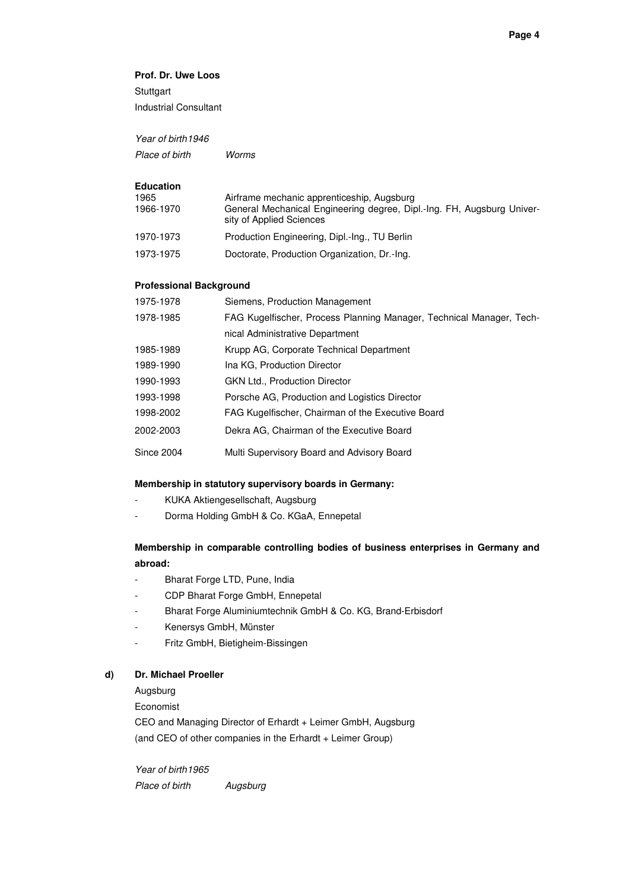### **Prof. Dr. Uwe Loos**

**Stuttgart** Industrial Consultant

Year of birth 1946

Place of birth Worms

#### **Education**

| 1965<br>1966-1970 | Airframe mechanic apprenticeship, Augsburg<br>General Mechanical Engineering degree, Dipl.-Ing. FH, Augsburg Univer-<br>sity of Applied Sciences |
|-------------------|--------------------------------------------------------------------------------------------------------------------------------------------------|
| 1970-1973         | Production Engineering, Dipl.-Ing., TU Berlin                                                                                                    |
| 1973-1975         | Doctorate, Production Organization, Dr.-Ing.                                                                                                     |

#### **Professional Background**

| 1975-1978         | Siemens, Production Management                                       |
|-------------------|----------------------------------------------------------------------|
| 1978-1985         | FAG Kugelfischer, Process Planning Manager, Technical Manager, Tech- |
|                   | nical Administrative Department                                      |
| 1985-1989         | Krupp AG, Corporate Technical Department                             |
| 1989-1990         | Ina KG. Production Director                                          |
| 1990-1993         | <b>GKN Ltd., Production Director</b>                                 |
| 1993-1998         | Porsche AG, Production and Logistics Director                        |
| 1998-2002         | FAG Kugelfischer, Chairman of the Executive Board                    |
| 2002-2003         | Dekra AG, Chairman of the Executive Board                            |
| <b>Since 2004</b> | Multi Supervisory Board and Advisory Board                           |

### **Membership in statutory supervisory boards in Germany:**

- KUKA Aktiengesellschaft, Augsburg
- Dorma Holding GmbH & Co. KGaA, Ennepetal

# **Membership in comparable controlling bodies of business enterprises in Germany and abroad:**

- Bharat Forge LTD, Pune, India
- CDP Bharat Forge GmbH, Ennepetal
- Bharat Forge Aluminiumtechnik GmbH & Co. KG, Brand-Erbisdorf
- Kenersys GmbH, Münster
- Fritz GmbH, Bietigheim-Bissingen

#### **d) Dr. Michael Proeller**

Augsburg

Economist

CEO and Managing Director of Erhardt + Leimer GmbH, Augsburg (and CEO of other companies in the Erhardt + Leimer Group)

Year of birth 1965 Place of birth Augsburg